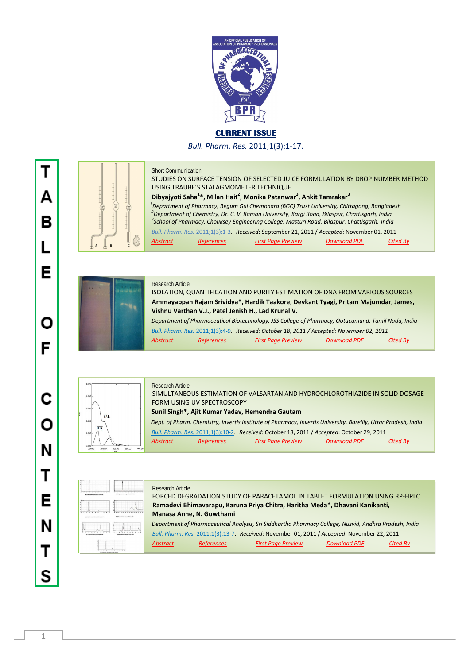

## **CURRENT ISSUE**

*Bull. Pharm. Res.* 2011;1(3):1-17.



## Short Communication

Research Article

STUDIES ON SURFACE TENSION OF SELECTED JUICE FORMULATION BY DROP NUMBER METHOD USING TRAUBE'S STALAGMOMETER TECHNIQUE **c d Dibyajyoti Saha<sup>1</sup>\*, Milan Hait<sup>2</sup>, Monika Patanwar<sup>3</sup>, Ankit Tamrakar<sup>3</sup>** *Department of Pharmacy, Begum Gul Chemonara (BGC) Trust University, Chittagong, Bangladesh 2 Department of Chemistry, Dr. C. V. Raman University, Kargi Road, Bilaspur, Chattisgarh, India 3 School of Pharmacy, Chouksey Engineering College, Masturi Road, Bilaspur, Chattisgarh, India Bull. Pharm. Res.* 2011;1(3):1-3. *Received*: September 21, 2011 / *Accepted*: November 01, 2011 *Abstract References First Page Preview Download PDF Cited By*



Research Article ISOLATION, QUANTIFICATION AND PURITY ESTIMATION OF DNA FROM VARIOUS SOURCES  **Ammayappan Rajam Srividya\*, Hardik Taakore, Devkant Tyagi, Pritam Majumdar, James, Vishnu Varthan V.J., Patel Jenish H., Lad Krunal V.**  *Department of Pharmaceutical Biotechnology, JSS College of Pharmacy, Ootacamund, Tamil Nadu, India*

*Bull. Pharm. Res.* 2011;1(3):4-9. *Received: October 18, 2011 / Accepted: November 02, 2011 Abstract References First Page Preview Download PDF Cited By*



 SIMULTANEOUS ESTIMATION OF VALSARTAN AND HYDROCHLOROTHIAZIDE IN SOLID DOSAGE FORM USING UV SPECTROSCOPY  **Sunil Singh\*, Ajit Kumar Yadav, Hemendra Gautam** *Dept. of Pharm. Chemistry, Invertis Institute of Pharmacy, Invertis University, Bareilly, Uttar Pradesh, India* 

 *Bull. Pharm. Res.* 2011;1(3):10-2. *Received*: October 18, 2011 / *Accepted*: October 29, 2011

*Abstract References First Page Preview Download PDF Cited By*

| ۰                                                               |                                                                              |
|-----------------------------------------------------------------|------------------------------------------------------------------------------|
| ٠<br>u<br>Full Procurates international Council for             | <b>STARTING</b><br>---<br>۰<br>Full * Personal coloration of Furbal - Ref E. |
|                                                                 | ÷                                                                            |
| Ty 17 horses to request book (20)                               | ------<br>---<br>۰<br>u<br>w<br><b>Full Records to Long and Lajo Rd</b>      |
|                                                                 | $-$ Sections<br><b>SERVICE</b><br>÷<br>u                                     |
| <b>By 1 Departure Sections of Last Well</b><br>٠<br>ı<br>٠<br>× | To 81 homes and company's court 1974                                         |
| For in the names description of local specials                  |                                                                              |

Research Article FORCED DEGRADATION STUDY OF PARACETAMOL IN TABLET FORMULATION USING RP-HPLC  **Ramadevi Bhimavarapu, Karuna Priya Chitra, Haritha Meda\*, Dhavani Kanikanti, Manasa Anne, N. Gowthami** *Department of Pharmaceutical Analysis, Sri Siddhartha Pharmacy College, Nuzvid, Andhra Pradesh, India Bull. Pharm. Res.* 2011;1(3):13-7. *Received*: November 01, 2011 / *Accepted*: November 22, 2011 *Abstract References First Page Preview Download PDF Cited By*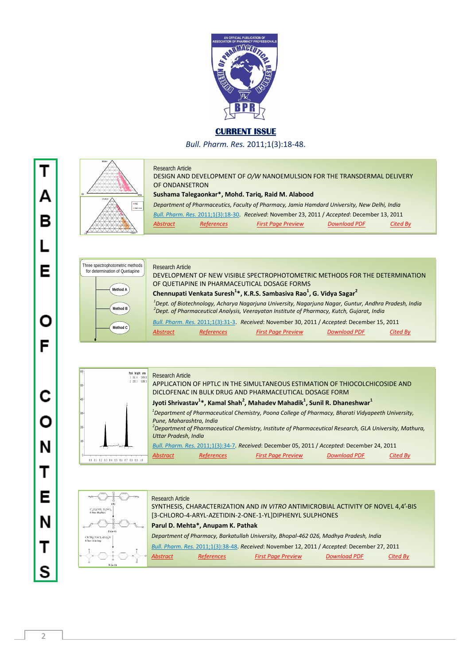

## **CURRENT ISSUE**

*Bull. Pharm. Res.* 2011;1(3):18-48.



Research Article DESIGN AND DEVELOPMENT OF *O/W* NANOEMULSION FOR THE TRANSDERMAL DELIVERY OF ONDANSETRON  **Sushama Talegaonkar\*, Mohd. Tariq, Raid M. Alabood** *Department of Pharmaceutics, Faculty of Pharmacy, Jamia Hamdard University, New Delhi, India Bull. Pharm. Res.* 2011;1(3):18-30. *Received*: November 23, 2011 / *Accepted*: December 13, <sup>2011</sup> *Abstract References First Page Preview Download PDF Cited By*



|         | Peak height area<br>3494<br>161.4<br>6386.3<br>2.293.1 | <b>Research Article</b>                                                                                                    |  |
|---------|--------------------------------------------------------|----------------------------------------------------------------------------------------------------------------------------|--|
| $933 -$ |                                                        | APPLICATION OF HPTLC IN THE SIMULTANEOUS ESTIMATION OF THIOCOLCHICOSIDE AND                                                |  |
|         |                                                        | DICLOFENAC IN BULK DRUG AND PHARMACEUTICAL DOSAGE FORM                                                                     |  |
| 488-    |                                                        | Jyoti Shrivastav <sup>1</sup> *, Kamal Shah <sup>2</sup> , Mahadev Mahadik <sup>1</sup> , Sunil R. Dhaneshwar <sup>1</sup> |  |
| $333 -$ |                                                        | $1$ Department of Pharmaceutical Chemistry, Poona College of Pharmacy, Bharati Vidyapeeth University,                      |  |
|         |                                                        | Pune, Maharashtra, India                                                                                                   |  |
| 288-    |                                                        | $\ell$ Department of Pharmaceutical Chemistry, Institute of Pharmaceutical Research, GLA University, Mathura,              |  |
| 188-    |                                                        | Uttar Pradesh, India                                                                                                       |  |
|         |                                                        | Bull. Pharm. Res. 2011;1(3):34-7. Received: December 05, 2011 / Accepted: December 24, 2011                                |  |
|         | 1 8.2 8.3 8.4 8.5 8.6 8.7 8.8 8.9 1.8                  | <b>Download PDF</b><br><b>Abstract</b><br><b>References</b><br><b>First Page Preview</b><br>Cited Bv                       |  |



Τ Δ в Е Ο F C O N Т Е N